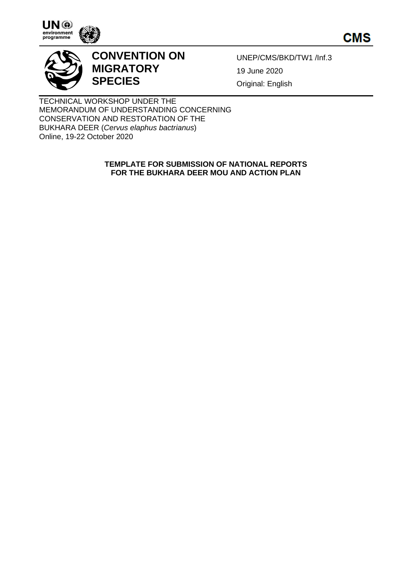





# **CONVENTION ON MIGRATORY SPECIES**

UNEP/CMS/BKD/TW1 /Inf.3 19 June 2020 Original: English

TECHNICAL WORKSHOP UNDER THE MEMORANDUM OF UNDERSTANDING CONCERNING CONSERVATION AND RESTORATION OF THE BUKHARA DEER (*Cervus elaphus bactrianus*) Online, 19-22 October 2020

#### **TEMPLATE FOR SUBMISSION OF NATIONAL REPORTS FOR THE BUKHARA DEER MOU AND ACTION PLAN**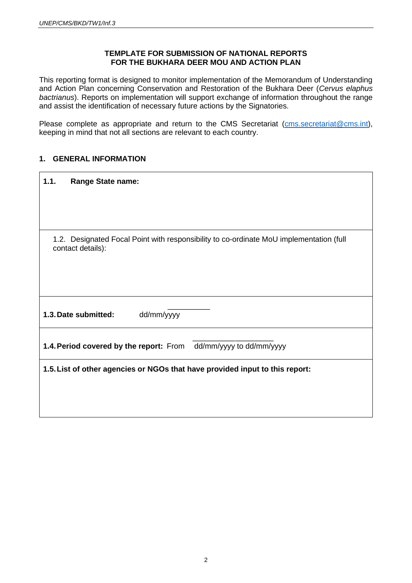#### **TEMPLATE FOR SUBMISSION OF NATIONAL REPORTS FOR THE BUKHARA DEER MOU AND ACTION PLAN**

This reporting format is designed to monitor implementation of the Memorandum of Understanding and Action Plan concerning Conservation and Restoration of the Bukhara Deer (*Cervus elaphus bactrianus*). Reports on implementation will support exchange of information throughout the range and assist the identification of necessary future actions by the Signatories.

Please complete as appropriate and return to the CMS Secretariat (cms[.secretariat@cms.int\)](mailto:secretariat@cms.int), keeping in mind that not all sections are relevant to each country.

## **1. GENERAL INFORMATION**

| 1.1.<br><b>Range State name:</b>                                                                             |  |  |  |  |  |  |  |  |
|--------------------------------------------------------------------------------------------------------------|--|--|--|--|--|--|--|--|
|                                                                                                              |  |  |  |  |  |  |  |  |
|                                                                                                              |  |  |  |  |  |  |  |  |
| 1.2. Designated Focal Point with responsibility to co-ordinate MoU implementation (full<br>contact details): |  |  |  |  |  |  |  |  |
|                                                                                                              |  |  |  |  |  |  |  |  |
| dd/mm/yyyy<br>1.3. Date submitted:                                                                           |  |  |  |  |  |  |  |  |
| 1.4. Period covered by the report: From dd/mm/yyyy to dd/mm/yyyy                                             |  |  |  |  |  |  |  |  |
| 1.5. List of other agencies or NGOs that have provided input to this report:                                 |  |  |  |  |  |  |  |  |
|                                                                                                              |  |  |  |  |  |  |  |  |
|                                                                                                              |  |  |  |  |  |  |  |  |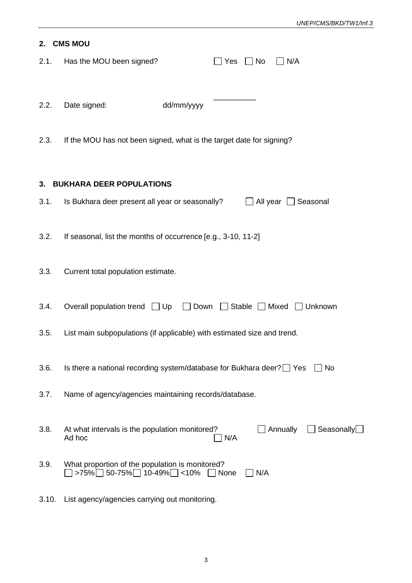| 2.   | <b>CMS MOU</b>                                                                |                           |             |           |                     |                   |
|------|-------------------------------------------------------------------------------|---------------------------|-------------|-----------|---------------------|-------------------|
| 2.1. | Has the MOU been signed?                                                      |                           | Yes         | $\Box$ No | $\Box$ N/A          |                   |
| 2.2. | Date signed:                                                                  | dd/mm/yyyy                |             |           |                     |                   |
| 2.3. | If the MOU has not been signed, what is the target date for signing?          |                           |             |           |                     |                   |
|      | 3. BUKHARA DEER POPULATIONS                                                   |                           |             |           |                     |                   |
| 3.1. | Is Bukhara deer present all year or seasonally?                               |                           |             |           | All year   Seasonal |                   |
| 3.2. | If seasonal, list the months of occurrence [e.g., 3-10, 11-2]                 |                           |             |           |                     |                   |
| 3.3. | Current total population estimate.                                            |                           |             |           |                     |                   |
| 3.4. | Overall population trend $\Box$ Up                                            | Down Stable Mixed Unknown |             |           |                     |                   |
| 3.5. | List main subpopulations (if applicable) with estimated size and trend.       |                           |             |           |                     |                   |
| 3.6. | Is there a national recording system/database for Bukhara deer? Yes           |                           |             |           |                     | No                |
| 3.7. | Name of agency/agencies maintaining records/database.                         |                           |             |           |                     |                   |
| 3.8. | At what intervals is the population monitored?<br>Ad hoc                      |                           | N/A         |           | Annually            | Seasonally $\Box$ |
| 3.9. | What proportion of the population is monitored?<br>$>75\%$ 50-75% 10-49% <10% |                           | $\Box$ None | N/A       |                     |                   |

3.10. List agency/agencies carrying out monitoring.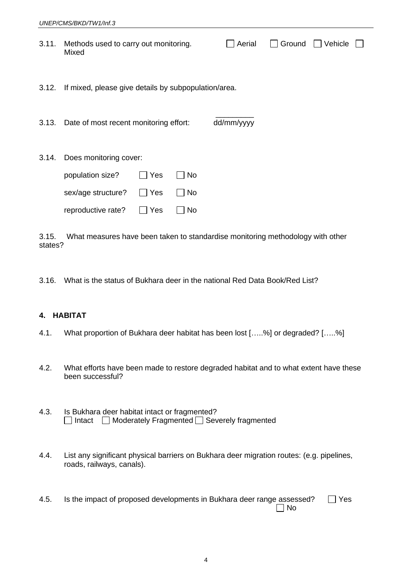|       | UNEP/CMS/BKD/TW1/Inf.3                                                                 |                   |                |            |        |         |  |
|-------|----------------------------------------------------------------------------------------|-------------------|----------------|------------|--------|---------|--|
| 3.11. | Methods used to carry out monitoring.<br>Mixed                                         |                   |                | Aerial     | Ground | Vehicle |  |
| 3.12. | If mixed, please give details by subpopulation/area.                                   |                   |                |            |        |         |  |
| 3.13. | Date of most recent monitoring effort:                                                 |                   |                | dd/mm/yyyy |        |         |  |
| 3.14. | Does monitoring cover:<br>population size?<br>sex/age structure?<br>reproductive rate? | Yes<br>Yes<br>Yes | No<br>No<br>No |            |        |         |  |

3.15. What measures have been taken to standardise monitoring methodology with other states?

3.16. What is the status of Bukhara deer in the national Red Data Book/Red List?

# **4. HABITAT**

- 4.1. What proportion of Bukhara deer habitat has been lost […..%] or degraded? […..%]
- 4.2. What efforts have been made to restore degraded habitat and to what extent have these been successful?
- 4.3. Is Bukhara deer habitat intact or fragmented?  $\Box$  Intact  $\Box$  Moderately Fragmented  $\Box$  Severely fragmented
- 4.4. List any significant physical barriers on Bukhara deer migration routes: (e.g. pipelines, roads, railways, canals).
- 4.5. Is the impact of proposed developments in Bukhara deer range assessed?  $\Box$  Yes  $\Box$  No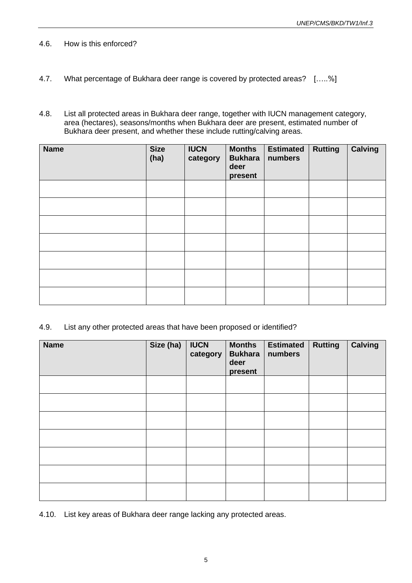- 4.6. How is this enforced?
- 4.7. What percentage of Bukhara deer range is covered by protected areas? […..%]
- 4.8. List all protected areas in Bukhara deer range, together with IUCN management category, area (hectares), seasons/months when Bukhara deer are present, estimated number of Bukhara deer present, and whether these include rutting/calving areas.

| <b>Name</b> | <b>Size</b><br>(ha) | <b>IUCN</b><br>category | <b>Months</b><br><b>Bukhara</b><br>deer<br>present | <b>Estimated</b><br>numbers | <b>Rutting</b> | <b>Calving</b> |
|-------------|---------------------|-------------------------|----------------------------------------------------|-----------------------------|----------------|----------------|
|             |                     |                         |                                                    |                             |                |                |
|             |                     |                         |                                                    |                             |                |                |
|             |                     |                         |                                                    |                             |                |                |
|             |                     |                         |                                                    |                             |                |                |
|             |                     |                         |                                                    |                             |                |                |
|             |                     |                         |                                                    |                             |                |                |
|             |                     |                         |                                                    |                             |                |                |

4.9. List any other protected areas that have been proposed or identified?

| <b>Name</b> | Size (ha) | <b>IUCN</b><br>category | <b>Months</b><br><b>Bukhara</b><br>deer<br>present | <b>Estimated</b><br>numbers | <b>Rutting</b> | <b>Calving</b> |
|-------------|-----------|-------------------------|----------------------------------------------------|-----------------------------|----------------|----------------|
|             |           |                         |                                                    |                             |                |                |
|             |           |                         |                                                    |                             |                |                |
|             |           |                         |                                                    |                             |                |                |
|             |           |                         |                                                    |                             |                |                |
|             |           |                         |                                                    |                             |                |                |
|             |           |                         |                                                    |                             |                |                |
|             |           |                         |                                                    |                             |                |                |

4.10. List key areas of Bukhara deer range lacking any protected areas.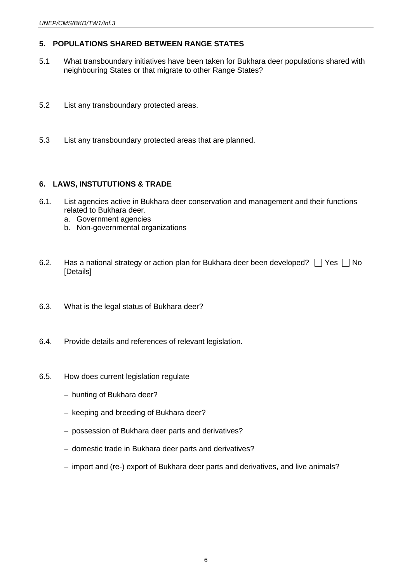## **5. POPULATIONS SHARED BETWEEN RANGE STATES**

- 5.1 What transboundary initiatives have been taken for Bukhara deer populations shared with neighbouring States or that migrate to other Range States?
- 5.2 List any transboundary protected areas.
- 5.3 List any transboundary protected areas that are planned.

## **6. LAWS, INSTUTUTIONS & TRADE**

- 6.1. List agencies active in Bukhara deer conservation and management and their functions related to Bukhara deer.
	- a. Government agencies
	- b. Non-governmental organizations
- 6.2. Has a national strategy or action plan for Bukhara deer been developed?  $\Box$  Yes  $\Box$  No [Details]
- 6.3. What is the legal status of Bukhara deer?
- 6.4. Provide details and references of relevant legislation.
- 6.5. How does current legislation regulate
	- − hunting of Bukhara deer?
	- − keeping and breeding of Bukhara deer?
	- − possession of Bukhara deer parts and derivatives?
	- − domestic trade in Bukhara deer parts and derivatives?
	- − import and (re-) export of Bukhara deer parts and derivatives, and live animals?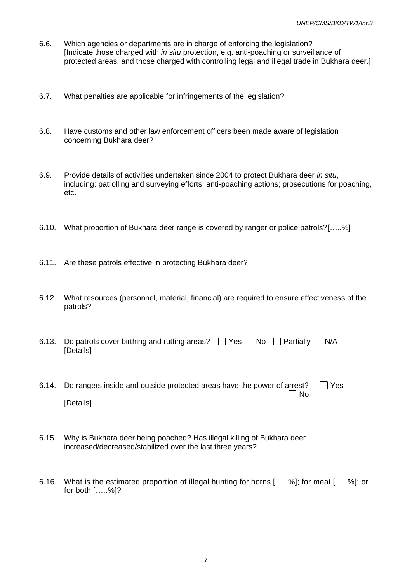- 6.6. Which agencies or departments are in charge of enforcing the legislation? [Indicate those charged with *in situ* protection, e.g. anti-poaching or surveillance of protected areas, and those charged with controlling legal and illegal trade in Bukhara deer.]
- 6.7. What penalties are applicable for infringements of the legislation?
- 6.8. Have customs and other law enforcement officers been made aware of legislation concerning Bukhara deer?
- 6.9. Provide details of activities undertaken since 2004 to protect Bukhara deer *in situ*, including: patrolling and surveying efforts; anti-poaching actions; prosecutions for poaching, etc.
- 6.10. What proportion of Bukhara deer range is covered by ranger or police patrols?[…..%]
- 6.11. Are these patrols effective in protecting Bukhara deer?
- 6.12. What resources (personnel, material, financial) are required to ensure effectiveness of the patrols?
- 6.13. Do patrols cover birthing and rutting areas?  $\Box$  Yes  $\Box$  No  $\Box$  Partially  $\Box$  N/A [Details]
- 6.14. Do rangers inside and outside protected areas have the power of arrest?  $\Box$  Yes  $\Box$  No [Details]
- 6.15. Why is Bukhara deer being poached? Has illegal killing of Bukhara deer increased/decreased/stabilized over the last three years?
- 6.16. What is the estimated proportion of illegal hunting for horns […..%]; for meat […..%]; or for both […..%]?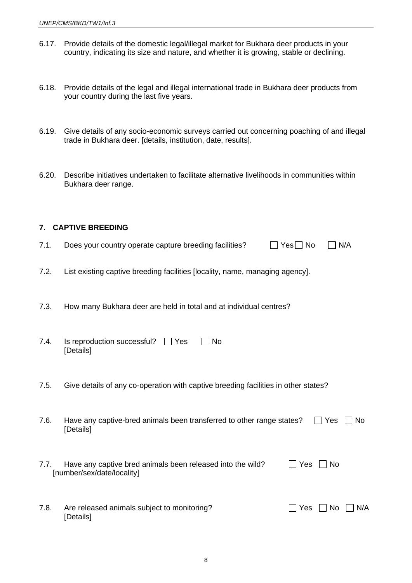- 6.17. Provide details of the domestic legal/illegal market for Bukhara deer products in your country, indicating its size and nature, and whether it is growing, stable or declining.
- 6.18. Provide details of the legal and illegal international trade in Bukhara deer products from your country during the last five years.
- 6.19. Give details of any socio-economic surveys carried out concerning poaching of and illegal trade in Bukhara deer. [details, institution, date, results].
- 6.20. Describe initiatives undertaken to facilitate alternative livelihoods in communities within Bukhara deer range.

#### **7. CAPTIVE BREEDING**

- 7.1. Does your country operate capture breeding facilities?  $\Box$  Yes  $\Box$  No  $\Box$  N/A
- 7.2. List existing captive breeding facilities [locality, name, managing agency].
- 7.3. How many Bukhara deer are held in total and at individual centres?
- 7.4. Is reproduction successful?  $\Box$  Yes  $\Box$  No [Details]
- 7.5. Give details of any co-operation with captive breeding facilities in other states?
- 7.6. Have any captive-bred animals been transferred to other range states?  $\Box$  Yes  $\Box$  No [Details]
- 7.7. Have any captive bred animals been released into the wild?  $\Box$  Yes  $\Box$  No [number/sex/date/locality]

| 7.8. | Are released animals subject to monitoring? | $\Box$ Yes $\Box$ No $\Box$ N/A |
|------|---------------------------------------------|---------------------------------|
|      | [Details]                                   |                                 |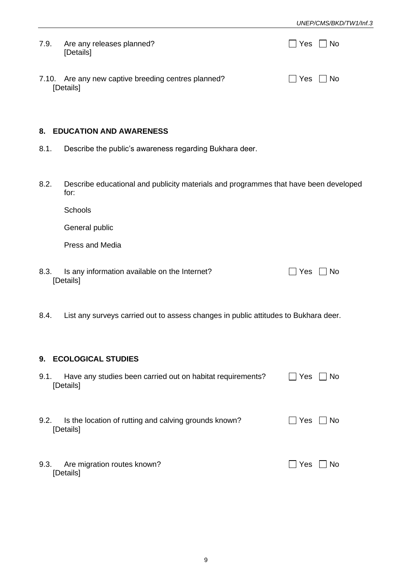| 7.9. | Are any releases planned?<br>[Details]                           | No No                |
|------|------------------------------------------------------------------|----------------------|
|      | 7.10. Are any new captive breeding centres planned?<br>[Details] | $\Box$ Yes $\Box$ No |

#### **8. EDUCATION AND AWARENESS**

- 8.1. Describe the public's awareness regarding Bukhara deer.
- 8.2. Describe educational and publicity materials and programmes that have been developed for:

**Schools** 

General public

Press and Media

- 8.3. Is any information available on the Internet?  $\Box$  Yes  $\Box$  No [Details]
- 8.4. List any surveys carried out to assess changes in public attitudes to Bukhara deer.

#### **9. ECOLOGICAL STUDIES**

| Have any studies been carried out on habitat requirements?<br>9.1.<br>[Details] | Yes    | No  |
|---------------------------------------------------------------------------------|--------|-----|
| Is the location of rutting and calving grounds known?<br>9.2.<br>[Details]      | l IYes | No. |
| Are migration routes known?<br>9.3.<br>[Details]                                | Yes    | No. |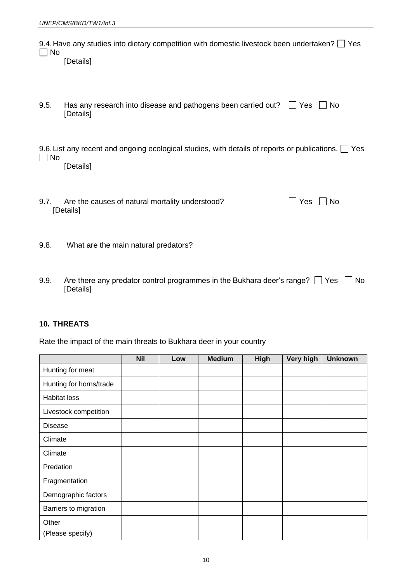| No     | 9.4. Have any studies into dietary competition with domestic livestock been undertaken? $\Box$ Yes<br>[Details]       |            |
|--------|-----------------------------------------------------------------------------------------------------------------------|------------|
| 9.5.   | Has any research into disease and pathogens been carried out? $\Box$ Yes<br>[Details]                                 | No.        |
| ∣ ∣ No | 9.6. List any recent and ongoing ecological studies, with details of reports or publications. $\Box$ Yes<br>[Details] |            |
| 9.7.   | Are the causes of natural mortality understood?<br>[Details]                                                          | Yes<br>No. |
| 9.8.   | What are the main natural predators?                                                                                  |            |

9.9. Are there any predator control programmes in the Bukhara deer's range?  $\Box$  Yes  $\Box$  No [Details]

## **10. THREATS**

Rate the impact of the main threats to Bukhara deer in your country

|                         | <b>Nil</b> | Low | <b>Medium</b> | <b>High</b> | Very high | <b>Unknown</b> |
|-------------------------|------------|-----|---------------|-------------|-----------|----------------|
| Hunting for meat        |            |     |               |             |           |                |
| Hunting for horns/trade |            |     |               |             |           |                |
| <b>Habitat loss</b>     |            |     |               |             |           |                |
| Livestock competition   |            |     |               |             |           |                |
| <b>Disease</b>          |            |     |               |             |           |                |
| Climate                 |            |     |               |             |           |                |
| Climate                 |            |     |               |             |           |                |
| Predation               |            |     |               |             |           |                |
| Fragmentation           |            |     |               |             |           |                |
| Demographic factors     |            |     |               |             |           |                |
| Barriers to migration   |            |     |               |             |           |                |
| Other                   |            |     |               |             |           |                |
| (Please specify)        |            |     |               |             |           |                |